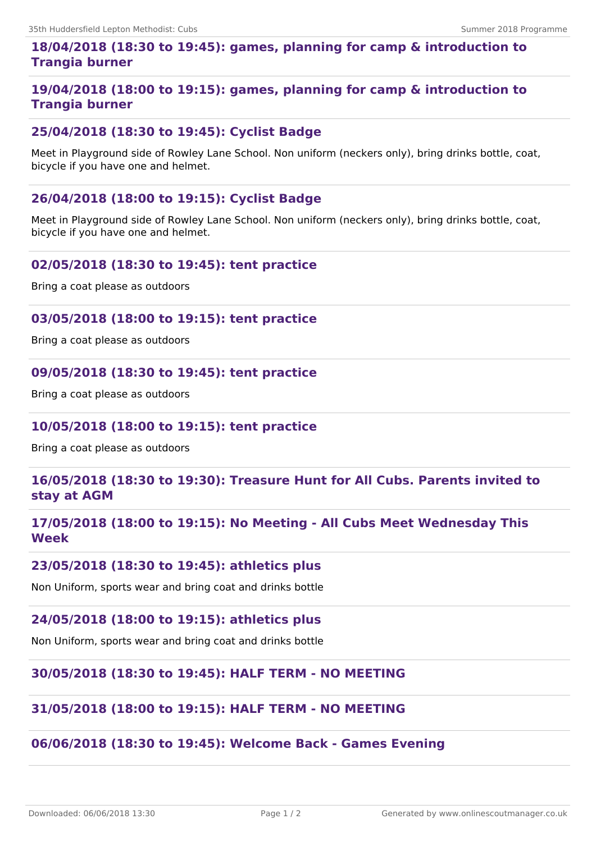# **18/04/2018 (18:30 to 19:45): games, planning for camp & introduction to Trangia burner**

# **19/04/2018 (18:00 to 19:15): games, planning for camp & introduction to Trangia burner**

# **25/04/2018 (18:30 to 19:45): Cyclist Badge**

Meet in Playground side of Rowley Lane School. Non uniform (neckers only), bring drinks bottle, coat, bicycle if you have one and helmet.

## **26/04/2018 (18:00 to 19:15): Cyclist Badge**

Meet in Playground side of Rowley Lane School. Non uniform (neckers only), bring drinks bottle, coat, bicycle if you have one and helmet.

## **02/05/2018 (18:30 to 19:45): tent practice**

Bring a coat please as outdoors

### **03/05/2018 (18:00 to 19:15): tent practice**

Bring a coat please as outdoors

### **09/05/2018 (18:30 to 19:45): tent practice**

Bring a coat please as outdoors

### **10/05/2018 (18:00 to 19:15): tent practice**

Bring a coat please as outdoors

## **16/05/2018 (18:30 to 19:30): Treasure Hunt for All Cubs. Parents invited to stay at AGM**

# **17/05/2018 (18:00 to 19:15): No Meeting - All Cubs Meet Wednesday This Week**

### **23/05/2018 (18:30 to 19:45): athletics plus**

Non Uniform, sports wear and bring coat and drinks bottle

## **24/05/2018 (18:00 to 19:15): athletics plus**

Non Uniform, sports wear and bring coat and drinks bottle

### **30/05/2018 (18:30 to 19:45): HALF TERM - NO MEETING**

### **31/05/2018 (18:00 to 19:15): HALF TERM - NO MEETING**

## **06/06/2018 (18:30 to 19:45): Welcome Back - Games Evening**